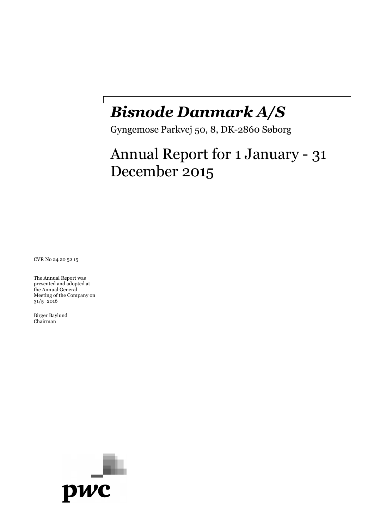# *Bisnode Danmark A/S*

Gyngemose Parkvej 50, 8, DK-2860 Søborg

# Annual Report for 1 January - 31 December 2015

CVR No 24 20 52 15

The Annual Report was presented and adopted at the Annual General Meeting of the Company on 31/5 2016

Birger Baylund Chairman

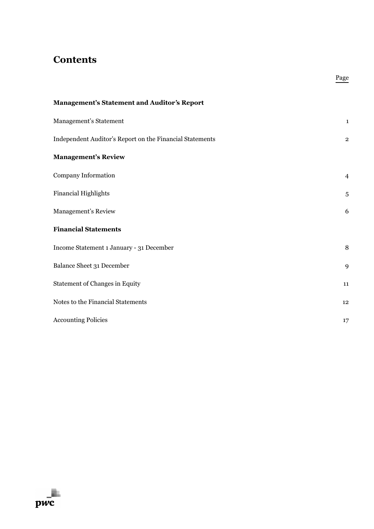### **Contents**

| <b>Management's Statement and Auditor's Report</b>       |              |
|----------------------------------------------------------|--------------|
| Management's Statement                                   | $\mathbf{1}$ |
| Independent Auditor's Report on the Financial Statements | $\mathbf 2$  |
| <b>Management's Review</b>                               |              |
| <b>Company Information</b>                               | 4            |
| <b>Financial Highlights</b>                              | $\sqrt{5}$   |
| Management's Review                                      | 6            |
| <b>Financial Statements</b>                              |              |
| Income Statement 1 January - 31 December                 | 8            |
| Balance Sheet 31 December                                | 9            |
| <b>Statement of Changes in Equity</b>                    | 11           |
| Notes to the Financial Statements                        | 12           |
| <b>Accounting Policies</b>                               | 17           |

Page

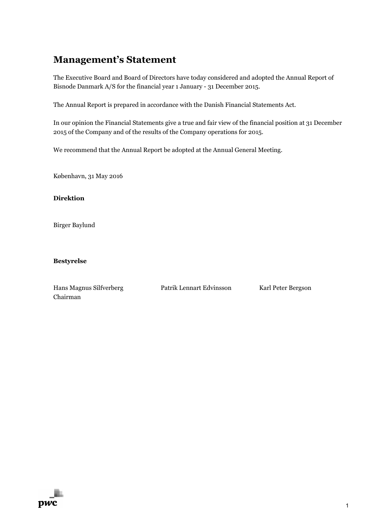## **Management's Statement**

The Executive Board and Board of Directors have today considered and adopted the Annual Report of Bisnode Danmark A/S for the financial year 1 January - 31 December 2015.

The Annual Report is prepared in accordance with the Danish Financial Statements Act.

In our opinion the Financial Statements give a true and fair view of the financial position at 31 December 2015 of the Company and of the results of the Company operations for 2015.

We recommend that the Annual Report be adopted at the Annual General Meeting.

København, 31 May 2016

### **Direktion**

Birger Baylund

### **Bestyrelse**

| Hans Magnus Silfverberg | Patrik Lennart Edvinsson | Karl Peter Bergson |
|-------------------------|--------------------------|--------------------|
| Chairman                |                          |                    |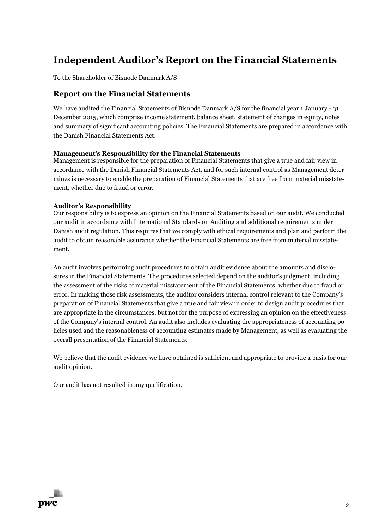# **Independent Auditor's Report on the Financial Statements**

To the Shareholder of Bisnode Danmark A/S

### **Report on the Financial Statements**

We have audited the Financial Statements of Bisnode Danmark A/S for the financial year 1 January - 31 December 2015, which comprise income statement, balance sheet, statement of changes in equity, notes and summary of significant accounting policies. The Financial Statements are prepared in accordance with the Danish Financial Statements Act.

### **Management's Responsibility for the Financial Statements**

Management is responsible for the preparation of Financial Statements that give a true and fair view in accordance with the Danish Financial Statements Act, and for such internal control as Management determines is necessary to enable the preparation of Financial Statements that are free from material misstatement, whether due to fraud or error.

#### **Auditor's Responsibility**

Our responsibility is to express an opinion on the Financial Statements based on our audit. We conducted our audit in accordance with International Standards on Auditing and additional requirements under Danish audit regulation. This requires that we comply with ethical requirements and plan and perform the audit to obtain reasonable assurance whether the Financial Statements are free from material misstatement.

An audit involves performing audit procedures to obtain audit evidence about the amounts and disclosures in the Financial Statements. The procedures selected depend on the auditor's judgment, including the assessment of the risks of material misstatement of the Financial Statements, whether due to fraud or error. In making those risk assessments, the auditor considers internal control relevant to the Company's preparation of Financial Statements that give a true and fair view in order to design audit procedures that are appropriate in the circumstances, but not for the purpose of expressing an opinion on the effectiveness of the Company's internal control. An audit also includes evaluating the appropriateness of accounting policies used and the reasonableness of accounting estimates made by Management, as well as evaluating the overall presentation of the Financial Statements.

We believe that the audit evidence we have obtained is sufficient and appropriate to provide a basis for our audit opinion.

Our audit has not resulted in any qualification.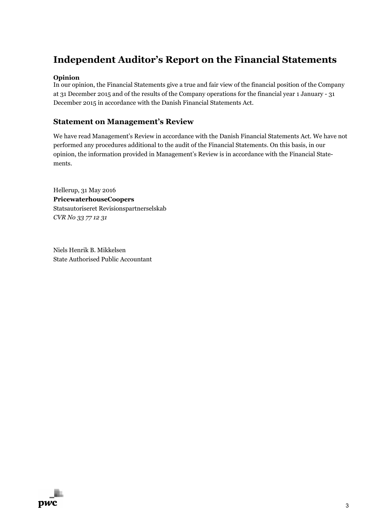# **Independent Auditor's Report on the Financial Statements**

### **Opinion**

In our opinion, the Financial Statements give a true and fair view of the financial position of the Company at 31 December 2015 and of the results of the Company operations for the financial year 1 January - 31 December 2015 in accordance with the Danish Financial Statements Act.

### **Statement on Management's Review**

We have read Management's Review in accordance with the Danish Financial Statements Act. We have not performed any procedures additional to the audit of the Financial Statements. On this basis, in our opinion, the information provided in Management's Review is in accordance with the Financial Statements.

Hellerup, 31 May 2016 **PricewaterhouseCoopers** Statsautoriseret Revisionspartnerselskab *CVR No 33 77 12 31*

Niels Henrik B. Mikkelsen State Authorised Public Accountant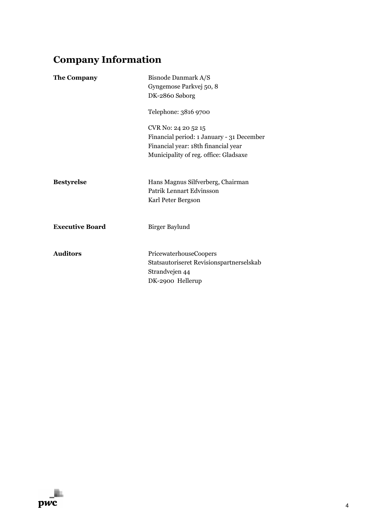# **Company Information**

| The Company            | Bisnode Danmark A/S<br>Gyngemose Parkvej 50, 8<br>DK-2860 Søborg                                                                                 |
|------------------------|--------------------------------------------------------------------------------------------------------------------------------------------------|
|                        | Telephone: 3816 9700                                                                                                                             |
|                        | CVR No: 24 20 52 15<br>Financial period: 1 January - 31 December<br>Financial year: 18th financial year<br>Municipality of reg. office: Gladsaxe |
| <b>Bestyrelse</b>      | Hans Magnus Silfverberg, Chairman<br>Patrik Lennart Edvinsson<br>Karl Peter Bergson                                                              |
| <b>Executive Board</b> | Birger Baylund                                                                                                                                   |
| <b>Auditors</b>        | PricewaterhouseCoopers<br>Statsautoriseret Revisionspartnerselskab<br>Strandvejen 44<br>DK-2900 Hellerup                                         |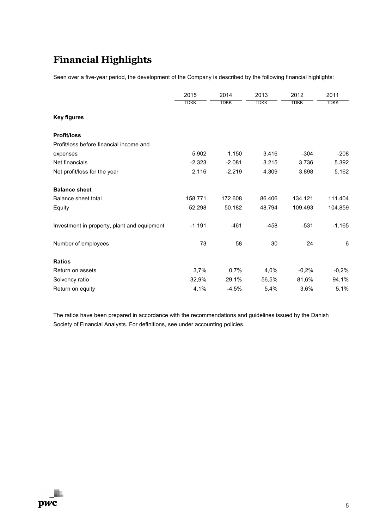# **Financial Highlights**

Seen over a five-year period, the development of the Company is described by the following financial highlights:

|                                             | 2015        | 2014        | 2013        | 2012        | 2011        |
|---------------------------------------------|-------------|-------------|-------------|-------------|-------------|
|                                             | <b>TDKK</b> | <b>TDKK</b> | <b>TDKK</b> | <b>TDKK</b> | <b>TDKK</b> |
| <b>Key figures</b>                          |             |             |             |             |             |
| <b>Profit/loss</b>                          |             |             |             |             |             |
| Profit/loss before financial income and     |             |             |             |             |             |
| expenses                                    | 5.902       | 1.150       | 3.416       | $-304$      | $-208$      |
| Net financials                              | $-2.323$    | $-2.081$    | 3.215       | 3.736       | 5.392       |
| Net profit/loss for the year                | 2.116       | $-2.219$    | 4.309       | 3.898       | 5.162       |
| <b>Balance sheet</b>                        |             |             |             |             |             |
| Balance sheet total                         | 158.771     | 172.608     | 86.406      | 134.121     | 111.404     |
| Equity                                      | 52.298      | 50.182      | 48.794      | 109.493     | 104.859     |
| Investment in property, plant and equipment | $-1.191$    | $-461$      | $-458$      | $-531$      | $-1.165$    |
| Number of employees                         | 73          | 58          | 30          | 24          | 6           |
| <b>Ratios</b>                               |             |             |             |             |             |
| Return on assets                            | 3,7%        | 0,7%        | 4,0%        | $-0,2%$     | $-0,2%$     |
| Solvency ratio                              | 32,9%       | 29,1%       | 56,5%       | 81,6%       | 94,1%       |
| Return on equity                            | 4,1%        | $-4,5%$     | 5,4%        | 3,6%        | 5,1%        |

The ratios have been prepared in accordance with the recommendations and guidelines issued by the Danish Society of Financial Analysts. For definitions, see under accounting policies.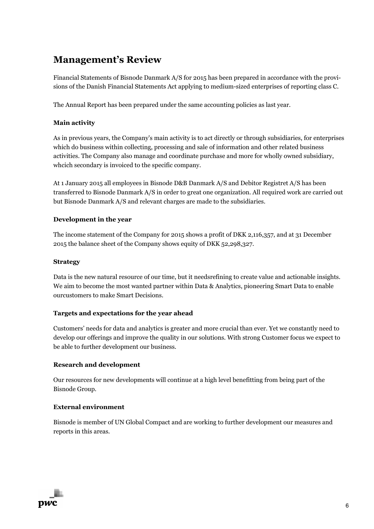# **Management's Review**

Financial Statements of Bisnode Danmark A/S for 2015 has been prepared in accordance with the provisions of the Danish Financial Statements Act applying to medium-sized enterprises of reporting class C.

The Annual Report has been prepared under the same accounting policies as last year.

### **Main activity**

As in previous years, the Company's main activity is to act directly or through subsidiaries, for enterprises which do business within collecting, processing and sale of information and other related business activities. The Company also manage and coordinate purchase and more for wholly owned subsidiary, whcich secondary is invoiced to the specific company.

At 1 January 2015 all employees in Bisnode D&B Danmark A/S and Debitor Registret A/S has been transferred to Bisnode Danmark A/S in order to great one organization. All required work are carried out but Bisnode Danmark A/S and relevant charges are made to the subsidiaries.

### **Development in the year**

The income statement of the Company for 2015 shows a profit of DKK 2,116,357, and at 31 December 2015 the balance sheet of the Company shows equity of DKK 52,298,327.

### **Strategy**

Data is the new natural resource of our time, but it needsrefining to create value and actionable insights. We aim to become the most wanted partner within Data & Analytics, pioneering Smart Data to enable ourcustomers to make Smart Decisions.

### **Targets and expectations for the year ahead**

Customers' needs for data and analytics is greater and more crucial than ever. Yet we constantly need to develop our offerings and improve the quality in our solutions. With strong Customer focus we expect to be able to further development our business.

### **Research and development**

Our resources for new developments will continue at a high level benefitting from being part of the Bisnode Group.

### **External environment**

Bisnode is member of UN Global Compact and are working to further development our measures and reports in this areas.

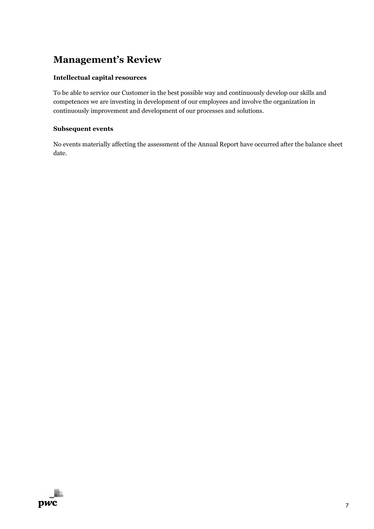# **Management's Review**

### **Intellectual capital resources**

To be able to service our Customer in the best possible way and continuously develop our skills and competences we are investing in development of our employees and involve the organization in continuously improvement and development of our processes and solutions.

### **Subsequent events**

No events materially affecting the assessment of the Annual Report have occurred after the balance sheet date.

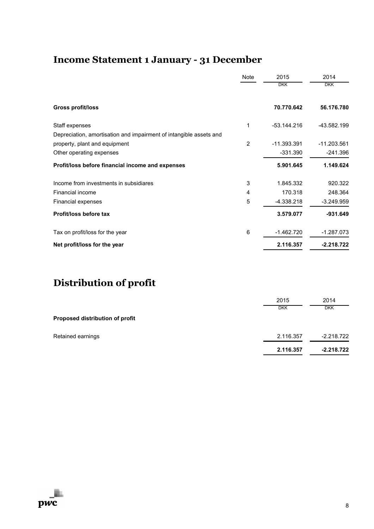# **Income Statement 1 January - 31 December**

|                                                                    | Note           | 2015<br><b>DKK</b> | 2014<br><b>DKK</b> |
|--------------------------------------------------------------------|----------------|--------------------|--------------------|
| <b>Gross profit/loss</b>                                           |                | 70.770.642         | 56.176.780         |
| Staff expenses                                                     | 1              | $-53.144.216$      | -43.582.199        |
| Depreciation, amortisation and impairment of intangible assets and |                |                    |                    |
| property, plant and equipment                                      | $\overline{2}$ | $-11.393.391$      | -11.203.561        |
| Other operating expenses                                           |                | $-331.390$         | $-241.396$         |
| Profit/loss before financial income and expenses                   |                | 5.901.645          | 1.149.624          |
| Income from investments in subsidiares                             | 3              | 1.845.332          | 920.322            |
| Financial income                                                   | 4              | 170.318            | 248.364            |
| Financial expenses                                                 | 5              | $-4.338.218$       | $-3.249.959$       |
| Profit/loss before tax                                             |                | 3.579.077          | $-931.649$         |
| Tax on profit/loss for the year                                    | 6              | $-1.462.720$       | $-1.287.073$       |
| Net profit/loss for the year                                       |                | 2.116.357          | $-2.218.722$       |

# **Distribution of profit**

|                                 | 2015       | 2014         |
|---------------------------------|------------|--------------|
|                                 | <b>DKK</b> | <b>DKK</b>   |
| Proposed distribution of profit |            |              |
| Retained earnings               | 2.116.357  | $-2.218.722$ |
|                                 | 2.116.357  | $-2.218.722$ |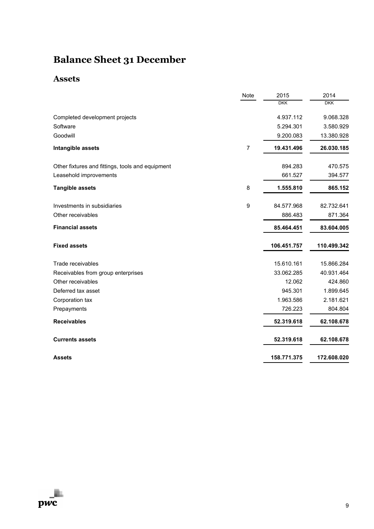# **Balance Sheet 31 December**

### **Assets**

|                                                  | Note           | 2015        | 2014        |
|--------------------------------------------------|----------------|-------------|-------------|
|                                                  |                | <b>DKK</b>  | <b>DKK</b>  |
| Completed development projects                   |                | 4.937.112   | 9.068.328   |
| Software                                         |                | 5.294.301   | 3.580.929   |
| Goodwill                                         |                | 9.200.083   | 13.380.928  |
| Intangible assets                                | $\overline{7}$ | 19.431.496  | 26.030.185  |
| Other fixtures and fittings, tools and equipment |                | 894.283     | 470.575     |
| Leasehold improvements                           |                | 661.527     | 394.577     |
| <b>Tangible assets</b>                           | 8              | 1.555.810   | 865.152     |
| Investments in subsidiaries                      | 9              | 84.577.968  | 82.732.641  |
| Other receivables                                |                | 886.483     | 871.364     |
| <b>Financial assets</b>                          |                | 85.464.451  | 83.604.005  |
| <b>Fixed assets</b>                              |                | 106.451.757 | 110.499.342 |
| Trade receivables                                |                | 15.610.161  | 15.866.284  |
| Receivables from group enterprises               |                | 33.062.285  | 40.931.464  |
| Other receivables                                |                | 12.062      | 424.860     |
| Deferred tax asset                               |                | 945.301     | 1.899.645   |
| Corporation tax                                  |                | 1.963.586   | 2.181.621   |
| Prepayments                                      |                | 726.223     | 804.804     |
| <b>Receivables</b>                               |                | 52.319.618  | 62.108.678  |
| <b>Currents assets</b>                           |                | 52.319.618  | 62.108.678  |
| Assets                                           |                | 158.771.375 | 172.608.020 |

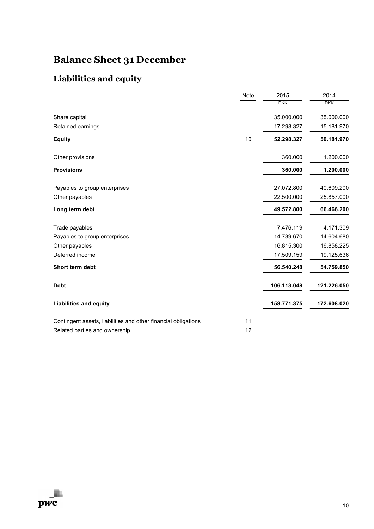# **Balance Sheet 31 December**

# **Liabilities and equity**

|                                                                | Note | 2015        | 2014        |
|----------------------------------------------------------------|------|-------------|-------------|
|                                                                |      | <b>DKK</b>  | <b>DKK</b>  |
| Share capital                                                  |      | 35.000.000  | 35.000.000  |
| Retained earnings                                              |      | 17.298.327  | 15.181.970  |
| <b>Equity</b>                                                  | 10   | 52.298.327  | 50.181.970  |
| Other provisions                                               |      | 360.000     | 1.200.000   |
| <b>Provisions</b>                                              |      | 360.000     | 1.200.000   |
| Payables to group enterprises                                  |      | 27.072.800  | 40.609.200  |
| Other payables                                                 |      | 22.500.000  | 25.857.000  |
| Long term debt                                                 |      | 49.572.800  | 66.466.200  |
| Trade payables                                                 |      | 7.476.119   | 4.171.309   |
| Payables to group enterprises                                  |      | 14.739.670  | 14.604.680  |
| Other payables                                                 |      | 16.815.300  | 16.858.225  |
| Deferred income                                                |      | 17.509.159  | 19.125.636  |
| <b>Short term debt</b>                                         |      | 56.540.248  | 54.759.850  |
| <b>Debt</b>                                                    |      | 106.113.048 | 121.226.050 |
| <b>Liabilities and equity</b>                                  |      | 158.771.375 | 172.608.020 |
| Contingent assets, liabilities and other financial obligations | 11   |             |             |
| Related parties and ownership                                  | 12   |             |             |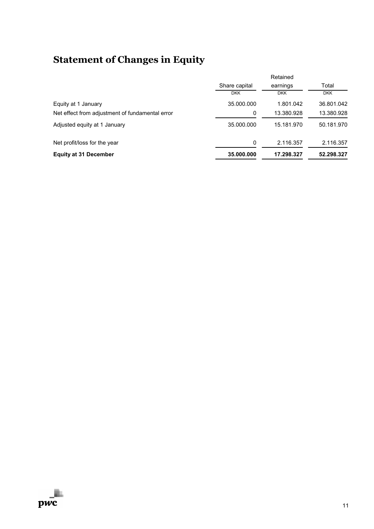# **Statement of Changes in Equity**

|                                                 |               | Retained   |            |
|-------------------------------------------------|---------------|------------|------------|
|                                                 | Share capital | earnings   | Total      |
|                                                 | <b>DKK</b>    | <b>DKK</b> | <b>DKK</b> |
| Equity at 1 January                             | 35.000.000    | 1.801.042  | 36.801.042 |
| Net effect from adjustment of fundamental error | 0             | 13.380.928 | 13.380.928 |
| Adjusted equity at 1 January                    | 35.000.000    | 15.181.970 | 50.181.970 |
| Net profit/loss for the year                    | 0             | 2.116.357  | 2.116.357  |
| <b>Equity at 31 December</b>                    | 35,000,000    | 17.298.327 | 52.298.327 |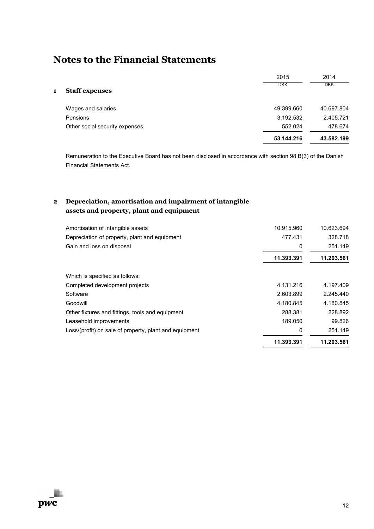|                                | 2015       | 2014       |
|--------------------------------|------------|------------|
| <b>Staff expenses</b>          | <b>DKK</b> | <b>DKK</b> |
| Wages and salaries             | 49.399.660 | 40.697.804 |
| Pensions                       | 3.192.532  | 2.405.721  |
| Other social security expenses | 552.024    | 478.674    |
|                                | 53.144.216 | 43.582.199 |
|                                |            |            |

Remuneration to the Executive Board has not been disclosed in accordance with section 98 B(3) of the Danish Financial Statements Act.

### **2 Depreciation, amortisation and impairment of intangible assets and property, plant and equipment**

| Amortisation of intangible assets                      | 10.915.960 | 10.623.694 |
|--------------------------------------------------------|------------|------------|
| Depreciation of property, plant and equipment          | 477.431    | 328.718    |
| Gain and loss on disposal                              | 0          | 251.149    |
|                                                        | 11.393.391 | 11.203.561 |
| Which is specified as follows:                         |            |            |
| Completed development projects                         | 4.131.216  | 4.197.409  |
| Software                                               | 2.603.899  | 2.245.440  |
| Goodwill                                               | 4.180.845  | 4.180.845  |
| Other fixtures and fittings, tools and equipment       | 288.381    | 228.892    |
| Leasehold improvements                                 | 189.050    | 99.826     |
| Loss/(profit) on sale of property, plant and equipment | 0          | 251.149    |
|                                                        | 11.393.391 | 11.203.561 |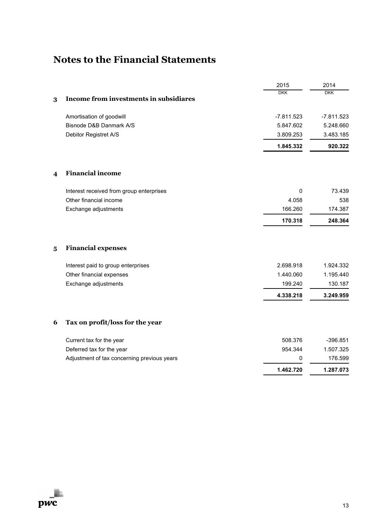|                         |                                             | 2015         | 2014         |
|-------------------------|---------------------------------------------|--------------|--------------|
| 3                       | Income from investments in subsidiares      | <b>DKK</b>   | <b>DKK</b>   |
|                         |                                             |              |              |
|                         | Amortisation of goodwill                    | -7.811.523   | $-7.811.523$ |
|                         | Bisnode D&B Danmark A/S                     | 5.847.602    | 5.248.660    |
|                         | Debitor Registret A/S                       | 3.809.253    | 3.483.185    |
|                         |                                             | 1.845.332    | 920.322      |
| 4                       | <b>Financial income</b>                     |              |              |
|                         | Interest received from group enterprises    | 0            | 73.439       |
|                         | Other financial income                      | 4.058        | 538          |
|                         | Exchange adjustments                        | 166.260      | 174.387      |
|                         |                                             | 170.318      | 248.364      |
| $\overline{\mathbf{5}}$ | <b>Financial expenses</b>                   |              |              |
|                         | Interest paid to group enterprises          | 2.698.918    | 1.924.332    |
|                         | Other financial expenses                    | 1.440.060    | 1.195.440    |
|                         | Exchange adjustments                        | 199.240      | 130.187      |
|                         |                                             | 4.338.218    | 3.249.959    |
| 6                       | Tax on profit/loss for the year             |              |              |
|                         | Current tax for the year                    | 508.376      | $-396.851$   |
|                         | Deferred tax for the year                   | 954.344      | 1.507.325    |
|                         | Adjustment of tax concerning previous years | $\mathbf{0}$ | 176.599      |
|                         |                                             | 1.462.720    | 1.287.073    |

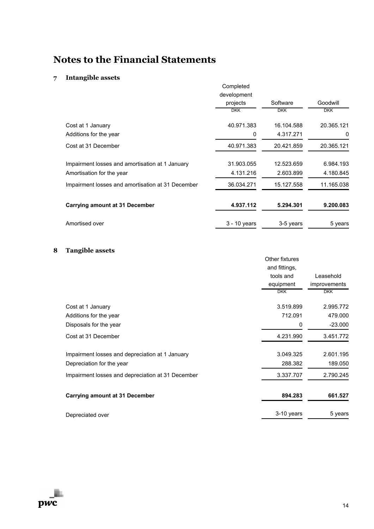### **7 Intangible assets**

|                                                   | Completed    |            |            |
|---------------------------------------------------|--------------|------------|------------|
|                                                   | development  |            |            |
|                                                   | projects     | Software   | Goodwill   |
|                                                   | <b>DKK</b>   | <b>DKK</b> | <b>DKK</b> |
| Cost at 1 January                                 | 40.971.383   | 16.104.588 | 20.365.121 |
| Additions for the year                            | 0            | 4.317.271  | 0          |
| Cost at 31 December                               | 40.971.383   | 20.421.859 | 20.365.121 |
| Impairment losses and amortisation at 1 January   | 31.903.055   | 12.523.659 | 6.984.193  |
| Amortisation for the year                         | 4.131.216    | 2.603.899  | 4.180.845  |
| Impairment losses and amortisation at 31 December | 36.034.271   | 15.127.558 | 11.165.038 |
| <b>Carrying amount at 31 December</b>             | 4.937.112    | 5.294.301  | 9.200.083  |
| Amortised over                                    | 3 - 10 years | 3-5 years  | 5 years    |

### **8 Tangible assets**

|                                                   | Other fixtures<br>and fittings, |              |
|---------------------------------------------------|---------------------------------|--------------|
|                                                   | tools and                       | Leasehold    |
|                                                   | equipment                       | improvements |
|                                                   | <b>DKK</b>                      | <b>DKK</b>   |
| Cost at 1 January                                 | 3.519.899                       | 2.995.772    |
| Additions for the year                            | 712.091                         | 479.000      |
| Disposals for the year                            | 0                               | $-23.000$    |
| Cost at 31 December                               | 4.231.990                       | 3.451.772    |
| Impairment losses and depreciation at 1 January   | 3.049.325                       | 2.601.195    |
| Depreciation for the year                         | 288.382                         | 189.050      |
| Impairment losses and depreciation at 31 December | 3.337.707                       | 2.790.245    |
| <b>Carrying amount at 31 December</b>             | 894.283                         | 661.527      |
| Depreciated over                                  | 3-10 years                      | 5 years      |

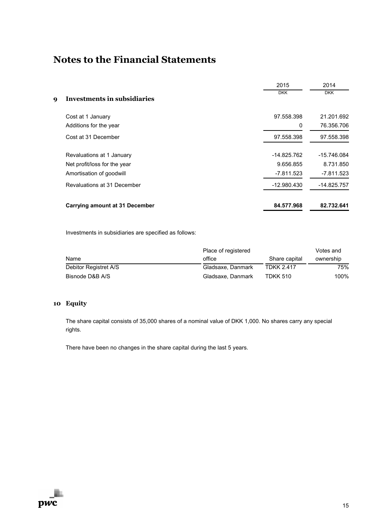|    |                                       | 2015          | 2014          |
|----|---------------------------------------|---------------|---------------|
| Q, | <b>Investments in subsidiaries</b>    | <b>DKK</b>    | <b>DKK</b>    |
|    | Cost at 1 January                     | 97.558.398    | 21.201.692    |
|    | Additions for the year                | 0             | 76.356.706    |
|    | Cost at 31 December                   | 97.558.398    | 97.558.398    |
|    | Revaluations at 1 January             | $-14.825.762$ | $-15.746.084$ |
|    | Net profit/loss for the year          | 9.656.855     | 8.731.850     |
|    | Amortisation of goodwill              | -7.811.523    | $-7.811.523$  |
|    | Revaluations at 31 December           | $-12.980.430$ | $-14.825.757$ |
|    | <b>Carrying amount at 31 December</b> | 84.577.968    | 82.732.641    |

Investments in subsidiaries are specified as follows:

|                       | Place of registered |                   |           |
|-----------------------|---------------------|-------------------|-----------|
| Name                  | office              | Share capital     | ownership |
| Debitor Registret A/S | Gladsaxe, Danmark   | <b>TDKK 2.417</b> | 75%       |
| Bisnode D&B A/S       | Gladsaxe, Danmark   | <b>TDKK 510</b>   | 100%      |

### **10 Equity**

The share capital consists of 35,000 shares of a nominal value of DKK 1,000. No shares carry any special rights.

There have been no changes in the share capital during the last 5 years.

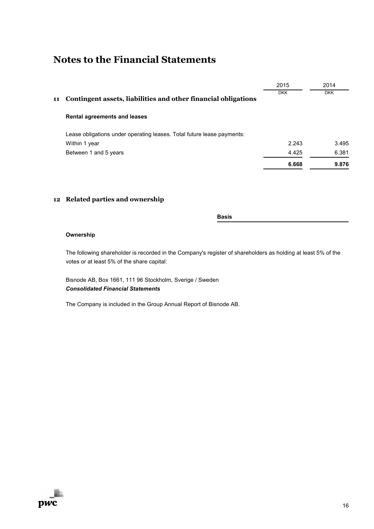|    |                                                                        | 2015       | 2014       |
|----|------------------------------------------------------------------------|------------|------------|
| 11 | Contingent assets, liabilities and other financial obligations         | <b>DKK</b> | <b>DKK</b> |
|    | <b>Rental agreements and leases</b>                                    |            |            |
|    | Lease obligations under operating leases. Total future lease payments: |            |            |
|    | Within 1 year                                                          | 2.243      | 3.495      |
|    | Between 1 and 5 years                                                  | 4.425      | 6.381      |
|    |                                                                        | 6.668      | 9.876      |

### **12 Related parties and ownership**

**Basis**

#### **Ownership**

The following shareholder is recorded in the Company's register of shareholders as holding at least 5% of the votes or at least 5% of the share capital:

Bisnode AB, Box 1661, 111 96 Stockholm, Sverige / Sweden *Consolidated Financial Statements*

The Company is included in the Group Annual Report of Bisnode AB.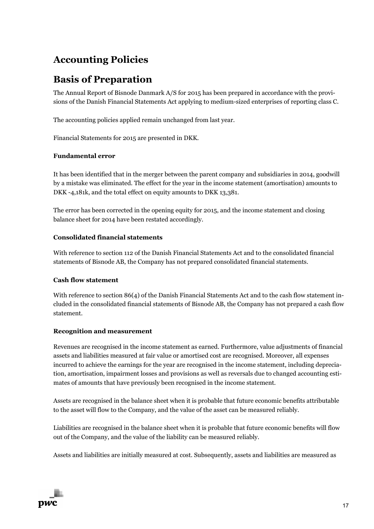### **Basis of Preparation**

The Annual Report of Bisnode Danmark A/S for 2015 has been prepared in accordance with the provisions of the Danish Financial Statements Act applying to medium-sized enterprises of reporting class C.

The accounting policies applied remain unchanged from last year.

Financial Statements for 2015 are presented in DKK.

### **Fundamental error**

It has been identified that in the merger between the parent company and subsidiaries in 2014, goodwill by a mistake was eliminated. The effect for the year in the income statement (amortisation) amounts to DKK -4,181k, and the total effect on equity amounts to DKK 13,381.

The error has been corrected in the opening equity for 2015, and the income statement and closing balance sheet for 2014 have been restated accordingly.

### **Consolidated financial statements**

With reference to section 112 of the Danish Financial Statements Act and to the consolidated financial statements of Bisnode AB, the Company has not prepared consolidated financial statements.

### **Cash flow statement**

With reference to section 86(4) of the Danish Financial Statements Act and to the cash flow statement included in the consolidated financial statements of Bisnode AB, the Company has not prepared a cash flow statement.

### **Recognition and measurement**

Revenues are recognised in the income statement as earned. Furthermore, value adjustments of financial assets and liabilities measured at fair value or amortised cost are recognised. Moreover, all expenses incurred to achieve the earnings for the year are recognised in the income statement, including depreciation, amortisation, impairment losses and provisions as well as reversals due to changed accounting estimates of amounts that have previously been recognised in the income statement.

Assets are recognised in the balance sheet when it is probable that future economic benefits attributable to the asset will flow to the Company, and the value of the asset can be measured reliably.

Liabilities are recognised in the balance sheet when it is probable that future economic benefits will flow out of the Company, and the value of the liability can be measured reliably.

Assets and liabilities are initially measured at cost. Subsequently, assets and liabilities are measured as

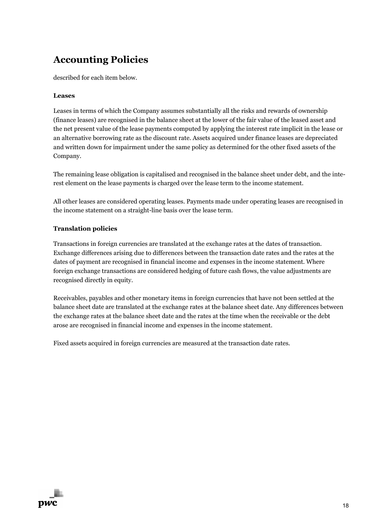described for each item below.

### **Leases**

Leases in terms of which the Company assumes substantially all the risks and rewards of ownership (finance leases) are recognised in the balance sheet at the lower of the fair value of the leased asset and the net present value of the lease payments computed by applying the interest rate implicit in the lease or an alternative borrowing rate as the discount rate. Assets acquired under finance leases are depreciated and written down for impairment under the same policy as determined for the other fixed assets of the Company.

The remaining lease obligation is capitalised and recognised in the balance sheet under debt, and the interest element on the lease payments is charged over the lease term to the income statement.

All other leases are considered operating leases. Payments made under operating leases are recognised in the income statement on a straight-line basis over the lease term.

### **Translation policies**

Transactions in foreign currencies are translated at the exchange rates at the dates of transaction. Exchange differences arising due to differences between the transaction date rates and the rates at the dates of payment are recognised in financial income and expenses in the income statement. Where foreign exchange transactions are considered hedging of future cash flows, the value adjustments are recognised directly in equity.

Receivables, payables and other monetary items in foreign currencies that have not been settled at the balance sheet date are translated at the exchange rates at the balance sheet date. Any differences between the exchange rates at the balance sheet date and the rates at the time when the receivable or the debt arose are recognised in financial income and expenses in the income statement.

Fixed assets acquired in foreign currencies are measured at the transaction date rates.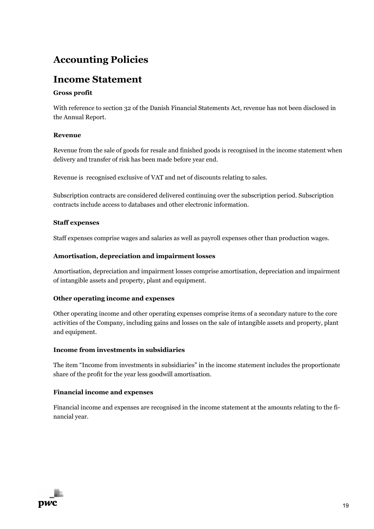### **Income Statement**

### **Gross profit**

With reference to section 32 of the Danish Financial Statements Act, revenue has not been disclosed in the Annual Report.

### **Revenue**

Revenue from the sale of goods for resale and finished goods is recognised in the income statement when delivery and transfer of risk has been made before year end.

Revenue is recognised exclusive of VAT and net of discounts relating to sales.

Subscription contracts are considered delivered continuing over the subscription period. Subscription contracts include access to databases and other electronic information.

### **Staff expenses**

Staff expenses comprise wages and salaries as well as payroll expenses other than production wages.

### **Amortisation, depreciation and impairment losses**

Amortisation, depreciation and impairment losses comprise amortisation, depreciation and impairment of intangible assets and property, plant and equipment.

### **Other operating income and expenses**

Other operating income and other operating expenses comprise items of a secondary nature to the core activities of the Company, including gains and losses on the sale of intangible assets and property, plant and equipment.

### **Income from investments in subsidiaries**

The item "Income from investments in subsidiaries" in the income statement includes the proportionate share of the profit for the year less goodwill amortisation.

### **Financial income and expenses**

Financial income and expenses are recognised in the income statement at the amounts relating to the financial year.

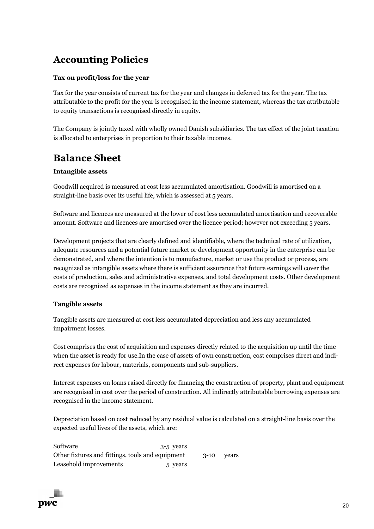### **Tax on profit/loss for the year**

Tax for the year consists of current tax for the year and changes in deferred tax for the year. The tax attributable to the profit for the year is recognised in the income statement, whereas the tax attributable to equity transactions is recognised directly in equity.

The Company is jointly taxed with wholly owned Danish subsidiaries. The tax effect of the joint taxation is allocated to enterprises in proportion to their taxable incomes.

### **Balance Sheet**

### **Intangible assets**

Goodwill acquired is measured at cost less accumulated amortisation. Goodwill is amortised on a straight-line basis over its useful life, which is assessed at 5 years.

Software and licences are measured at the lower of cost less accumulated amortisation and recoverable amount. Software and licences are amortised over the licence period; however not exceeding 5 years.

Development projects that are clearly defined and identifiable, where the technical rate of utilization, adequate resources and a potential future market or development opportunity in the enterprise can be demonstrated, and where the intention is to manufacture, market or use the product or process, are recognized as intangible assets where there is sufficient assurance that future earnings will cover the costs of production, sales and administrative expenses, and total development costs. Other development costs are recognized as expenses in the income statement as they are incurred.

### **Tangible assets**

Tangible assets are measured at cost less accumulated depreciation and less any accumulated impairment losses.

Cost comprises the cost of acquisition and expenses directly related to the acquisition up until the time when the asset is ready for use.In the case of assets of own construction, cost comprises direct and indirect expenses for labour, materials, components and sub-suppliers.

Interest expenses on loans raised directly for financing the construction of property, plant and equipment are recognised in cost over the period of construction. All indirectly attributable borrowing expenses are recognised in the income statement.

Depreciation based on cost reduced by any residual value is calculated on a straight-line basis over the expected useful lives of the assets, which are:

| Software                                         | 3-5 years |        |       |
|--------------------------------------------------|-----------|--------|-------|
| Other fixtures and fittings, tools and equipment |           | $3-10$ | vears |
| Leasehold improvements                           | 5 years   |        |       |

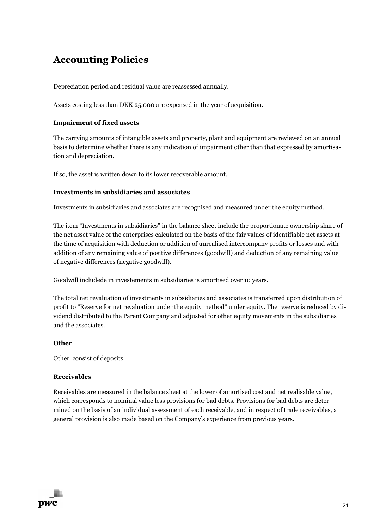Depreciation period and residual value are reassessed annually.

Assets costing less than DKK 25,000 are expensed in the year of acquisition.

### **Impairment of fixed assets**

The carrying amounts of intangible assets and property, plant and equipment are reviewed on an annual basis to determine whether there is any indication of impairment other than that expressed by amortisation and depreciation.

If so, the asset is written down to its lower recoverable amount.

### **Investments in subsidiaries and associates**

Investments in subsidiaries and associates are recognised and measured under the equity method.

The item "Investments in subsidiaries" in the balance sheet include the proportionate ownership share of the net asset value of the enterprises calculated on the basis of the fair values of identifiable net assets at the time of acquisition with deduction or addition of unrealised intercompany profits or losses and with addition of any remaining value of positive differences (goodwill) and deduction of any remaining value of negative differences (negative goodwill).

Goodwill includede in investements in subsidiaries is amortised over 10 years.

The total net revaluation of investments in subsidiaries and associates is transferred upon distribution of profit to "Reserve for net revaluation under the equity method" under equity. The reserve is reduced by dividend distributed to the Parent Company and adjusted for other equity movements in the subsidiaries and the associates.

### **Other**

Other consist of deposits.

### **Receivables**

Receivables are measured in the balance sheet at the lower of amortised cost and net realisable value, which corresponds to nominal value less provisions for bad debts. Provisions for bad debts are determined on the basis of an individual assessment of each receivable, and in respect of trade receivables, a general provision is also made based on the Company's experience from previous years.

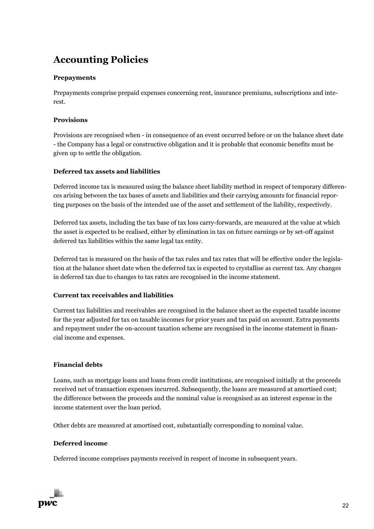### **Prepayments**

Prepayments comprise prepaid expenses concerning rent, insurance premiums, subscriptions and interest.

### **Provisions**

Provisions are recognised when - in consequence of an event occurred before or on the balance sheet date - the Company has a legal or constructive obligation and it is probable that economic benefits must be given up to settle the obligation.

### **Deferred tax assets and liabilities**

Deferred income tax is measured using the balance sheet liability method in respect of temporary differences arising between the tax bases of assets and liabilities and their carrying amounts for financial reporting purposes on the basis of the intended use of the asset and settlement of the liability, respectively.

Deferred tax assets, including the tax base of tax loss carry-forwards, are measured at the value at which the asset is expected to be realised, either by elimination in tax on future earnings or by set-off against deferred tax liabilities within the same legal tax entity.

Deferred tax is measured on the basis of the tax rules and tax rates that will be effective under the legislation at the balance sheet date when the deferred tax is expected to crystallise as current tax. Any changes in deferred tax due to changes to tax rates are recognised in the income statement.

### **Current tax receivables and liabilities**

Current tax liabilities and receivables are recognised in the balance sheet as the expected taxable income for the year adjusted for tax on taxable incomes for prior years and tax paid on account. Extra payments and repayment under the on-account taxation scheme are recognised in the income statement in financial income and expenses.

### **Financial debts**

Loans, such as mortgage loans and loans from credit institutions, are recognised initially at the proceeds received net of transaction expenses incurred. Subsequently, the loans are measured at amortised cost; the difference between the proceeds and the nominal value is recognised as an interest expense in the income statement over the loan period.

Other debts are measured at amortised cost, substantially corresponding to nominal value.

### **Deferred income**

Deferred income comprises payments received in respect of income in subsequent years.